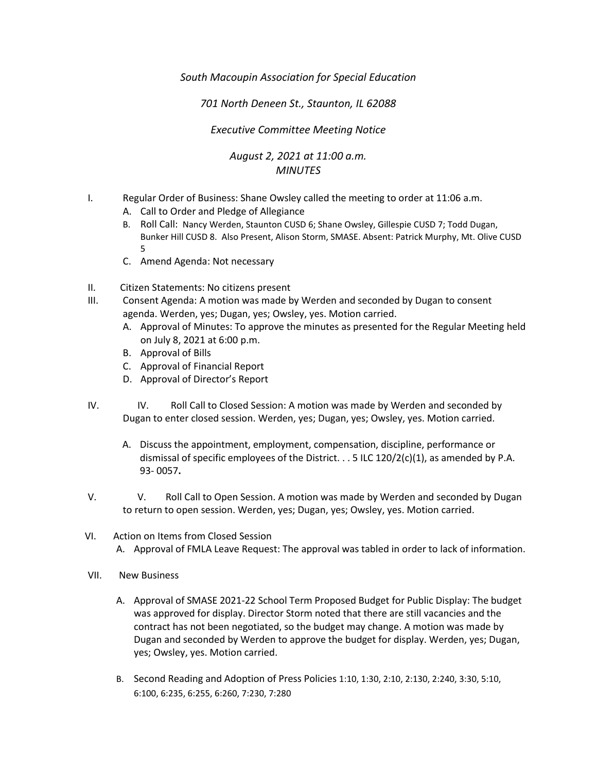*South Macoupin Association for Special Education* 

*701 North Deneen St., Staunton, IL 62088* 

## *Executive Committee Meeting Notice*

## *August 2, 2021 at 11:00 a.m. MINUTES*

- I. Regular Order of Business: Shane Owsley called the meeting to order at 11:06 a.m.
	- A. Call to Order and Pledge of Allegiance
	- B. Roll Call: Nancy Werden, Staunton CUSD 6; Shane Owsley, Gillespie CUSD 7; Todd Dugan, Bunker Hill CUSD 8. Also Present, Alison Storm, SMASE. Absent: Patrick Murphy, Mt. Olive CUSD 5
	- C. Amend Agenda: Not necessary
- II. Citizen Statements: No citizens present
- III. Consent Agenda: A motion was made by Werden and seconded by Dugan to consent agenda. Werden, yes; Dugan, yes; Owsley, yes. Motion carried.
	- A. Approval of Minutes: To approve the minutes as presented for the Regular Meeting held on July 8, 2021 at 6:00 p.m.
	- B. Approval of Bills
	- C. Approval of Financial Report
	- D. Approval of Director's Report
- IV. IV. Roll Call to Closed Session: A motion was made by Werden and seconded by Dugan to enter closed session. Werden, yes; Dugan, yes; Owsley, yes. Motion carried.
	- A. Discuss the appointment, employment, compensation, discipline, performance or dismissal of specific employees of the District.  $\ldots$  5 ILC 120/2(c)(1), as amended by P.A. 93- 0057**.**
- V. V. Roll Call to Open Session. A motion was made by Werden and seconded by Dugan to return to open session. Werden, yes; Dugan, yes; Owsley, yes. Motion carried.
- VI. Action on Items from Closed Session A. Approval of FMLA Leave Request: The approval was tabled in order to lack of information.
- VII. New Business
	- A. Approval of SMASE 2021-22 School Term Proposed Budget for Public Display: The budget was approved for display. Director Storm noted that there are still vacancies and the contract has not been negotiated, so the budget may change. A motion was made by Dugan and seconded by Werden to approve the budget for display. Werden, yes; Dugan, yes; Owsley, yes. Motion carried.
	- B. Second Reading and Adoption of Press Policies 1:10, 1:30, 2:10, 2:130, 2:240, 3:30, 5:10, 6:100, 6:235, 6:255, 6:260, 7:230, 7:280